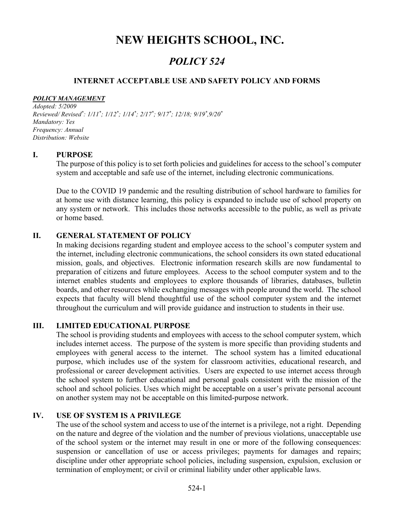# NEW HEIGHTS SCHOOL, INC.

## POLICY 524

#### INTERNET ACCEPTABLE USE AND SAFETY POLICY AND FORMS

#### POLICY MANAGEMENT

Adopted: 5/2009 Reviewed/ Revised\*: 1/11\*; 1/12\*; 1/14\*; 2/17\*; 9/17\*; 12/18; 9/19\*,9/20\* Mandatory: Yes Frequency: Annual Distribution: Website

#### I. PURPOSE

The purpose of this policy is to set forth policies and guidelines for access to the school's computer system and acceptable and safe use of the internet, including electronic communications.

Due to the COVID 19 pandemic and the resulting distribution of school hardware to families for at home use with distance learning, this policy is expanded to include use of school property on any system or network. This includes those networks accessible to the public, as well as private or home based.

#### II. GENERAL STATEMENT OF POLICY

In making decisions regarding student and employee access to the school's computer system and the internet, including electronic communications, the school considers its own stated educational mission, goals, and objectives. Electronic information research skills are now fundamental to preparation of citizens and future employees. Access to the school computer system and to the internet enables students and employees to explore thousands of libraries, databases, bulletin boards, and other resources while exchanging messages with people around the world. The school expects that faculty will blend thoughtful use of the school computer system and the internet throughout the curriculum and will provide guidance and instruction to students in their use.

#### III. LIMITED EDUCATIONAL PURPOSE

The school is providing students and employees with access to the school computer system, which includes internet access. The purpose of the system is more specific than providing students and employees with general access to the internet. The school system has a limited educational purpose, which includes use of the system for classroom activities, educational research, and professional or career development activities. Users are expected to use internet access through the school system to further educational and personal goals consistent with the mission of the school and school policies. Uses which might be acceptable on a user's private personal account on another system may not be acceptable on this limited-purpose network.

### IV. USE OF SYSTEM IS A PRIVILEGE

The use of the school system and access to use of the internet is a privilege, not a right. Depending on the nature and degree of the violation and the number of previous violations, unacceptable use of the school system or the internet may result in one or more of the following consequences: suspension or cancellation of use or access privileges; payments for damages and repairs; discipline under other appropriate school policies, including suspension, expulsion, exclusion or termination of employment; or civil or criminal liability under other applicable laws.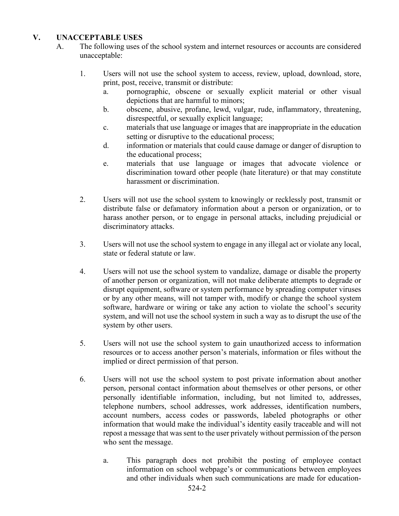## V. UNACCEPTABLE USES

- A. The following uses of the school system and internet resources or accounts are considered unacceptable:
	- 1. Users will not use the school system to access, review, upload, download, store, print, post, receive, transmit or distribute:
		- a. pornographic, obscene or sexually explicit material or other visual depictions that are harmful to minors;
		- b. obscene, abusive, profane, lewd, vulgar, rude, inflammatory, threatening, disrespectful, or sexually explicit language;
		- c. materials that use language or images that are inappropriate in the education setting or disruptive to the educational process;
		- d. information or materials that could cause damage or danger of disruption to the educational process;
		- e. materials that use language or images that advocate violence or discrimination toward other people (hate literature) or that may constitute harassment or discrimination.
	- 2. Users will not use the school system to knowingly or recklessly post, transmit or distribute false or defamatory information about a person or organization, or to harass another person, or to engage in personal attacks, including prejudicial or discriminatory attacks.
	- 3. Users will not use the school system to engage in any illegal act or violate any local, state or federal statute or law.
	- 4. Users will not use the school system to vandalize, damage or disable the property of another person or organization, will not make deliberate attempts to degrade or disrupt equipment, software or system performance by spreading computer viruses or by any other means, will not tamper with, modify or change the school system software, hardware or wiring or take any action to violate the school's security system, and will not use the school system in such a way as to disrupt the use of the system by other users.
	- 5. Users will not use the school system to gain unauthorized access to information resources or to access another person's materials, information or files without the implied or direct permission of that person.
	- 6. Users will not use the school system to post private information about another person, personal contact information about themselves or other persons, or other personally identifiable information, including, but not limited to, addresses, telephone numbers, school addresses, work addresses, identification numbers, account numbers, access codes or passwords, labeled photographs or other information that would make the individual's identity easily traceable and will not repost a message that was sent to the user privately without permission of the person who sent the message.
		- a. This paragraph does not prohibit the posting of employee contact information on school webpage's or communications between employees and other individuals when such communications are made for education-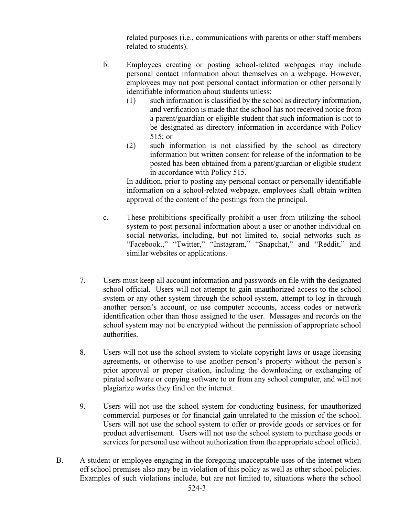related purposes (i.e., communications with parents or other staff members related to students).

- b. Employees creating or posting school-related webpages may include personal contact information about themselves on a webpage. However, employees may not post personal contact information or other personally identifiable information about students unless:
	- (1) such information is classified by the school as directory information, and verification is made that the school has not received notice from a parent/guardian or eligible student that such information is not to be designated as directory information in accordance with Policy 515; or
	- (2) such information is not classified by the school as directory information but written consent for release of the information to be posted has been obtained from a parent/guardian or eligible student in accordance with Policy 515.

In addition, prior to posting any personal contact or personally identifiable information on a school-related webpage, employees shall obtain written approval of the content of the postings from the principal.

- c. These prohibitions specifically prohibit a user from utilizing the school system to post personal information about a user or another individual on social networks, including, but not limited to, social networks such as "Facebook.," "Twitter," "Instagram," "Snapchat," and "Reddit," and similar websites or applications.
- 7. Users must keep all account information and passwords on file with the designated school official. Users will not attempt to gain unauthorized access to the school system or any other system through the school system, attempt to log in through another person's account, or use computer accounts, access codes or network identification other than those assigned to the user. Messages and records on the school system may not be encrypted without the permission of appropriate school authorities.
- 8. Users will not use the school system to violate copyright laws or usage licensing agreements, or otherwise to use another person's property without the person's prior approval or proper citation, including the downloading or exchanging of pirated software or copying software to or from any school computer, and will not plagiarize works they find on the internet.
- 9. Users will not use the school system for conducting business, for unauthorized commercial purposes or for financial gain unrelated to the mission of the school. Users will not use the school system to offer or provide goods or services or for product advertisement. Users will not use the school system to purchase goods or services for personal use without authorization from the appropriate school official.
- B. A student or employee engaging in the foregoing unacceptable uses of the internet when off school premises also may be in violation of this policy as well as other school policies. Examples of such violations include, but are not limited to, situations where the school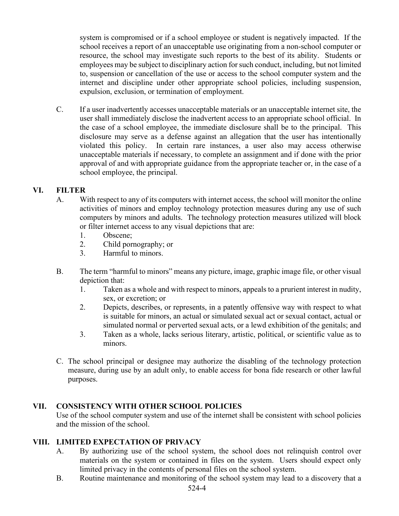system is compromised or if a school employee or student is negatively impacted. If the school receives a report of an unacceptable use originating from a non-school computer or resource, the school may investigate such reports to the best of its ability. Students or employees may be subject to disciplinary action for such conduct, including, but not limited to, suspension or cancellation of the use or access to the school computer system and the internet and discipline under other appropriate school policies, including suspension, expulsion, exclusion, or termination of employment.

C. If a user inadvertently accesses unacceptable materials or an unacceptable internet site, the user shall immediately disclose the inadvertent access to an appropriate school official. In the case of a school employee, the immediate disclosure shall be to the principal. This disclosure may serve as a defense against an allegation that the user has intentionally violated this policy. In certain rare instances, a user also may access otherwise unacceptable materials if necessary, to complete an assignment and if done with the prior approval of and with appropriate guidance from the appropriate teacher or, in the case of a school employee, the principal.

## VI. FILTER

- A. With respect to any of its computers with internet access, the school will monitor the online activities of minors and employ technology protection measures during any use of such computers by minors and adults. The technology protection measures utilized will block or filter internet access to any visual depictions that are:
	- 1. Obscene;
	- 2. Child pornography; or
	- 3. Harmful to minors.
- B. The term "harmful to minors" means any picture, image, graphic image file, or other visual depiction that:
	- 1. Taken as a whole and with respect to minors, appeals to a prurient interest in nudity, sex, or excretion; or
	- 2. Depicts, describes, or represents, in a patently offensive way with respect to what is suitable for minors, an actual or simulated sexual act or sexual contact, actual or simulated normal or perverted sexual acts, or a lewd exhibition of the genitals; and
	- 3. Taken as a whole, lacks serious literary, artistic, political, or scientific value as to minors.
- C. The school principal or designee may authorize the disabling of the technology protection measure, during use by an adult only, to enable access for bona fide research or other lawful purposes.

## VII. CONSISTENCY WITH OTHER SCHOOL POLICIES

Use of the school computer system and use of the internet shall be consistent with school policies and the mission of the school.

## VIII. LIMITED EXPECTATION OF PRIVACY

- A. By authorizing use of the school system, the school does not relinquish control over materials on the system or contained in files on the system. Users should expect only limited privacy in the contents of personal files on the school system.
- B. Routine maintenance and monitoring of the school system may lead to a discovery that a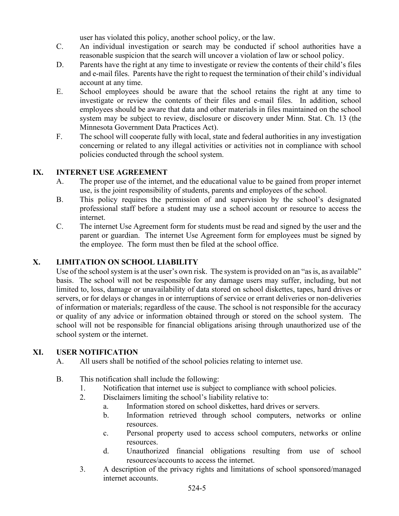user has violated this policy, another school policy, or the law.

- C. An individual investigation or search may be conducted if school authorities have a reasonable suspicion that the search will uncover a violation of law or school policy.
- D. Parents have the right at any time to investigate or review the contents of their child's files and e-mail files. Parents have the right to request the termination of their child's individual account at any time.
- E. School employees should be aware that the school retains the right at any time to investigate or review the contents of their files and e-mail files. In addition, school employees should be aware that data and other materials in files maintained on the school system may be subject to review, disclosure or discovery under Minn. Stat. Ch. 13 (the Minnesota Government Data Practices Act).
- F. The school will cooperate fully with local, state and federal authorities in any investigation concerning or related to any illegal activities or activities not in compliance with school policies conducted through the school system.

## IX. INTERNET USE AGREEMENT

- A. The proper use of the internet, and the educational value to be gained from proper internet use, is the joint responsibility of students, parents and employees of the school.
- B. This policy requires the permission of and supervision by the school's designated professional staff before a student may use a school account or resource to access the internet.
- C. The internet Use Agreement form for students must be read and signed by the user and the parent or guardian. The internet Use Agreement form for employees must be signed by the employee. The form must then be filed at the school office.

## X. LIMITATION ON SCHOOL LIABILITY

Use of the school system is at the user's own risk. The system is provided on an "as is, as available" basis. The school will not be responsible for any damage users may suffer, including, but not limited to, loss, damage or unavailability of data stored on school diskettes, tapes, hard drives or servers, or for delays or changes in or interruptions of service or errant deliveries or non-deliveries of information or materials; regardless of the cause. The school is not responsible for the accuracy or quality of any advice or information obtained through or stored on the school system. The school will not be responsible for financial obligations arising through unauthorized use of the school system or the internet.

## XI. USER NOTIFICATION

- A. All users shall be notified of the school policies relating to internet use.
- B. This notification shall include the following:
	- 1. Notification that internet use is subject to compliance with school policies.
	- 2. Disclaimers limiting the school's liability relative to:
		- a. Information stored on school diskettes, hard drives or servers.
		- b. Information retrieved through school computers, networks or online resources.
		- c. Personal property used to access school computers, networks or online resources.
		- d. Unauthorized financial obligations resulting from use of school resources/accounts to access the internet.
	- 3. A description of the privacy rights and limitations of school sponsored/managed internet accounts.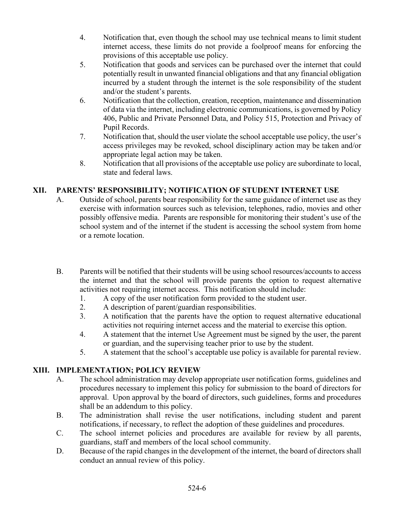- 4. Notification that, even though the school may use technical means to limit student internet access, these limits do not provide a foolproof means for enforcing the provisions of this acceptable use policy.
- 5. Notification that goods and services can be purchased over the internet that could potentially result in unwanted financial obligations and that any financial obligation incurred by a student through the internet is the sole responsibility of the student and/or the student's parents.
- 6. Notification that the collection, creation, reception, maintenance and dissemination of data via the internet, including electronic communications, is governed by Policy 406, Public and Private Personnel Data, and Policy 515, Protection and Privacy of Pupil Records.
- 7. Notification that, should the user violate the school acceptable use policy, the user's access privileges may be revoked, school disciplinary action may be taken and/or appropriate legal action may be taken.
- 8. Notification that all provisions of the acceptable use policy are subordinate to local, state and federal laws.

## XII. PARENTS' RESPONSIBILITY; NOTIFICATION OF STUDENT INTERNET USE

- A. Outside of school, parents bear responsibility for the same guidance of internet use as they exercise with information sources such as television, telephones, radio, movies and other possibly offensive media. Parents are responsible for monitoring their student's use of the school system and of the internet if the student is accessing the school system from home or a remote location.
- B. Parents will be notified that their students will be using school resources/accounts to access the internet and that the school will provide parents the option to request alternative activities not requiring internet access. This notification should include:
	- 1. A copy of the user notification form provided to the student user.
	- 2. A description of parent/guardian responsibilities.
	- 3. A notification that the parents have the option to request alternative educational activities not requiring internet access and the material to exercise this option.
	- 4. A statement that the internet Use Agreement must be signed by the user, the parent or guardian, and the supervising teacher prior to use by the student.
	- 5. A statement that the school's acceptable use policy is available for parental review.

## XIII. IMPLEMENTATION; POLICY REVIEW

- A. The school administration may develop appropriate user notification forms, guidelines and procedures necessary to implement this policy for submission to the board of directors for approval. Upon approval by the board of directors, such guidelines, forms and procedures shall be an addendum to this policy.
- B. The administration shall revise the user notifications, including student and parent notifications, if necessary, to reflect the adoption of these guidelines and procedures.
- C. The school internet policies and procedures are available for review by all parents, guardians, staff and members of the local school community.
- D. Because of the rapid changes in the development of the internet, the board of directors shall conduct an annual review of this policy.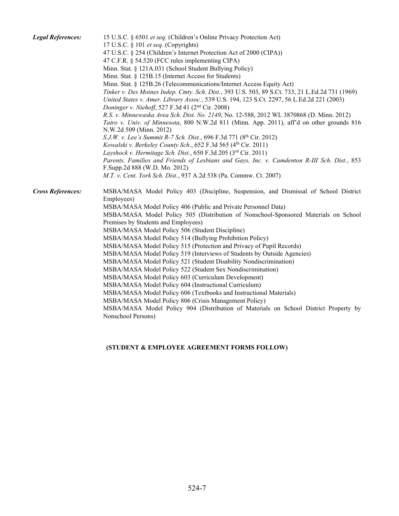| <b>Legal References:</b> | 15 U.S.C. § 6501 et seq. (Children's Online Privacy Protection Act)<br>17 U.S.C. § 101 et seq. (Copyrights)<br>47 U.S.C. § 254 (Children's Internet Protection Act of 2000 (CIPA))<br>47 C.F.R. § 54.520 (FCC rules implementing CIPA)<br>Minn. Stat. § 121A.031 (School Student Bullying Policy)<br>Minn. Stat. § 125B.15 (Internet Access for Students)<br>Minn. Stat. § 125B.26 (Telecommunications/Internet Access Equity Act)<br>Tinker v. Des Moines Indep. Cmty. Sch. Dist., 393 U.S. 503, 89 S.Ct. 733, 21 L.Ed.2d 731 (1969)<br>United States v. Amer. Library Assoc., 539 U.S. 194, 123 S.Ct. 2297, 56 L.Ed.2d 221 (2003)<br>Doninger v. Niehoff, 527 F.3d 41 $(2nd Cir. 2008)$<br>R.S. v. Minnewaska Area Sch. Dist. No. 2149, No. 12-588, 2012 WL 3870868 (D. Minn. 2012)<br>Tatro v. Univ. of Minnesota, 800 N.W.2d 811 (Minn. App. 2011), aff'd on other grounds 816<br>N.W.2d 509 (Minn. 2012)<br>S.J.W. v. Lee's Summit R-7 Sch. Dist., 696 F.3d 771 (8th Cir. 2012)<br>Kowalski v. Berkeley County Sch., 652 F.3d 565 (4th Cir. 2011)<br>Layshock v. Hermitage Sch. Dist., 650 F.3d 205 (3rd Cir. 2011)<br>Parents, Families and Friends of Lesbians and Gays, Inc. v. Camdenton R-III Sch. Dist., 853 |
|--------------------------|-------------------------------------------------------------------------------------------------------------------------------------------------------------------------------------------------------------------------------------------------------------------------------------------------------------------------------------------------------------------------------------------------------------------------------------------------------------------------------------------------------------------------------------------------------------------------------------------------------------------------------------------------------------------------------------------------------------------------------------------------------------------------------------------------------------------------------------------------------------------------------------------------------------------------------------------------------------------------------------------------------------------------------------------------------------------------------------------------------------------------------------------------------------------------------------------------------------------------|
|                          | F.Supp.2d 888 (W.D. Mo. 2012)<br>M.T. v. Cent. York Sch. Dist., 937 A.2d 538 (Pa. Commw. Ct. 2007)                                                                                                                                                                                                                                                                                                                                                                                                                                                                                                                                                                                                                                                                                                                                                                                                                                                                                                                                                                                                                                                                                                                      |
| <b>Cross References:</b> | MSBA/MASA Model Policy 403 (Discipline, Suspension, and Dismissal of School District<br>Employees)<br>MSBA/MASA Model Policy 406 (Public and Private Personnel Data)<br>MSBA/MASA Model Policy 505 (Distribution of Nonschool-Sponsored Materials on School<br>Premises by Students and Employees)<br>MSBA/MASA Model Policy 506 (Student Discipline)<br>MSBA/MASA Model Policy 514 (Bullying Prohibition Policy)<br>MSBA/MASA Model Policy 515 (Protection and Privacy of Pupil Records)<br>MSBA/MASA Model Policy 519 (Interviews of Students by Outside Agencies)<br>MSBA/MASA Model Policy 521 (Student Disability Nondiscrimination)<br>MSBA/MASA Model Policy 522 (Student Sex Nondiscrimination)<br>MSBA/MASA Model Policy 603 (Curriculum Development)<br>MSBA/MASA Model Policy 604 (Instructional Curriculum)<br>MSBA/MASA Model Policy 606 (Textbooks and Instructional Materials)<br>MSBA/MASA Model Policy 806 (Crisis Management Policy)<br>MSBA/MASA Model Policy 904 (Distribution of Materials on School District Property by<br>Nonschool Persons)                                                                                                                                                    |

## (STUDENT & EMPLOYEE AGREEMENT FORMS FOLLOW)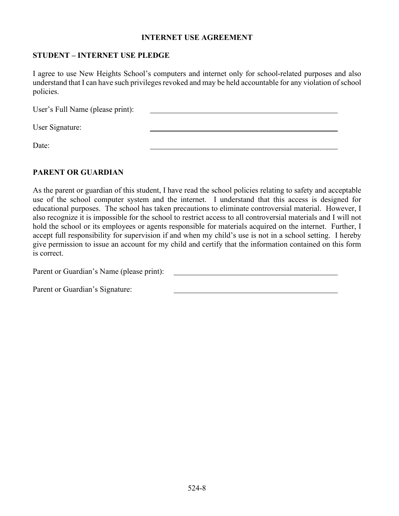#### INTERNET USE AGREEMENT

## STUDENT – INTERNET USE PLEDGE

I agree to use New Heights School's computers and internet only for school-related purposes and also understand that I can have such privileges revoked and may be held accountable for any violation of school policies.

User's Full Name (please print): User Signature: Date:

#### PARENT OR GUARDIAN

As the parent or guardian of this student, I have read the school policies relating to safety and acceptable use of the school computer system and the internet. I understand that this access is designed for educational purposes. The school has taken precautions to eliminate controversial material. However, I also recognize it is impossible for the school to restrict access to all controversial materials and I will not hold the school or its employees or agents responsible for materials acquired on the internet. Further, I accept full responsibility for supervision if and when my child's use is not in a school setting. I hereby give permission to issue an account for my child and certify that the information contained on this form is correct.

Parent or Guardian's Name (please print):

Parent or Guardian's Signature: